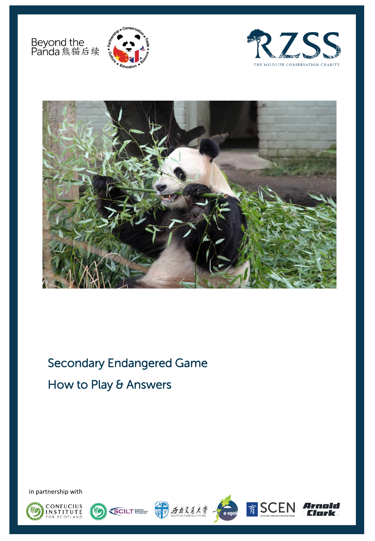Beyond the<br>Panda 熊猫后续







Secondary Endangered Game How to Play & Answers

in partnership with







nold

lark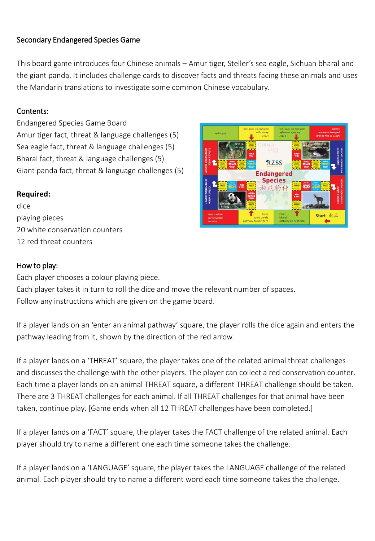# Secondary Endangered Species Game

This board game introduces four Chinese animals – Amur tiger, Steller's sea eagle, Sichuan bharal and the giant panda. It includes challenge cards to discover facts and threats facing these animals and uses the Mandarin translations to investigate some common Chinese vocabulary.

#### Contents:

Endangered Species Game Board Amur tiger fact, threat & language challenges (5) Sea eagle fact, threat & language challenges (5) Bharal fact, threat & language challenges (5) Giant panda fact, threat & language challenges (5)

#### **Required:**

dice playing pieces 20 white conservation counters 12 red threat counters



#### How to play:

Each player chooses a colour playing piece.

Each player takes it in turn to roll the dice and move the relevant number of spaces. Follow any instructions which are given on the game board.

If a player lands on an 'enter an animal pathway' square, the player rolls the dice again and enters the pathway leading from it, shown by the direction of the red arrow.

If a player lands on a 'THREAT' square, the player takes one of the related animal threat challenges and discusses the challenge with the other players. The player can collect a red conservation counter. Each time a player lands on an animal THREAT square, a different THREAT challenge should be taken. There are 3 THREAT challenges for each animal. If all THREAT challenges for that animal have been taken, continue play. [Game ends when all 12 THREAT challenges have been completed.]

If a player lands on a 'FACT' square, the player takes the FACT challenge of the related animal. Each player should try to name a different one each time someone takes the challenge.

If a player lands on a 'LANGUAGE' square, the player takes the LANGUAGE challenge of the related animal. Each player should try to name a different word each time someone takes the challenge.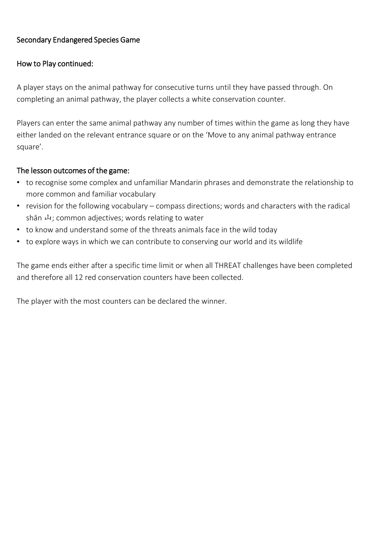# Secondary Endangered Species Game

## How to Play continued:

A player stays on the animal pathway for consecutive turns until they have passed through. On completing an animal pathway, the player collects a white conservation counter.

Players can enter the same animal pathway any number of times within the game as long they have either landed on the relevant entrance square or on the 'Move to any animal pathway entrance square'.

### The lesson outcomes of the game:

- to recognise some complex and unfamiliar Mandarin phrases and demonstrate the relationship to more common and familiar vocabulary
- revision for the following vocabulary compass directions; words and characters with the radical shān 山; common adjectives; words relating to water
- to know and understand some of the threats animals face in the wild today
- to explore ways in which we can contribute to conserving our world and its wildlife

The game ends either after a specific time limit or when all THREAT challenges have been completed and therefore all 12 red conservation counters have been collected.

The player with the most counters can be declared the winner.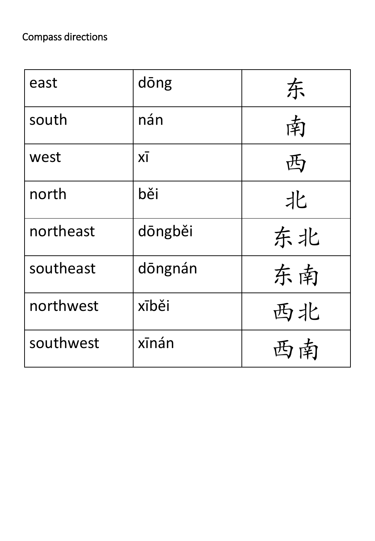| east      | dōng    | 东  |
|-----------|---------|----|
| south     | nán     | 南  |
| west      | XĪ      | 西  |
| north     | běi     | 北  |
| northeast | dōngběi | 东北 |
| southeast | dōngnán | 东南 |
| northwest | xīběi   | 西北 |
| southwest | xīnán   | 西南 |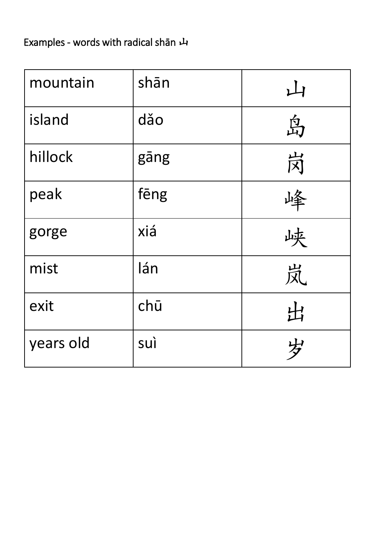# Examples - words with radical shān 山

| mountain  | shān | 山 |
|-----------|------|---|
| island    | dǎo  | 岛 |
| hillock   | gāng | 岗 |
| peak      | fēng |   |
| gorge     | xiá  | 峡 |
| mist      | lán  | 岚 |
| exit      | chū  | 出 |
| years old | suì  | 岁 |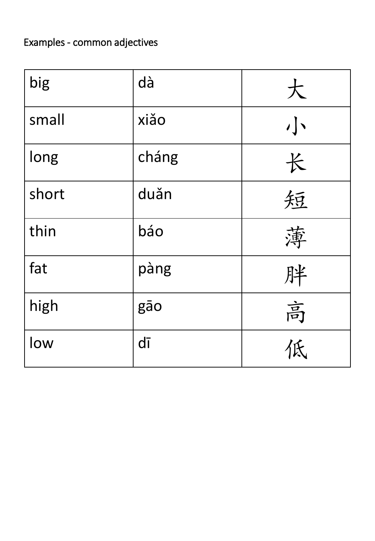# Examples - common adjectives

| big   | dà    | 大 |
|-------|-------|---|
| small | xiǎo  | 小 |
| long  | cháng | 长 |
| short | duǎn  | 短 |
| thin  | báo   | 薄 |
| fat   | pàng  | 胖 |
| high  | gāo   | 高 |
| low   | dī    |   |